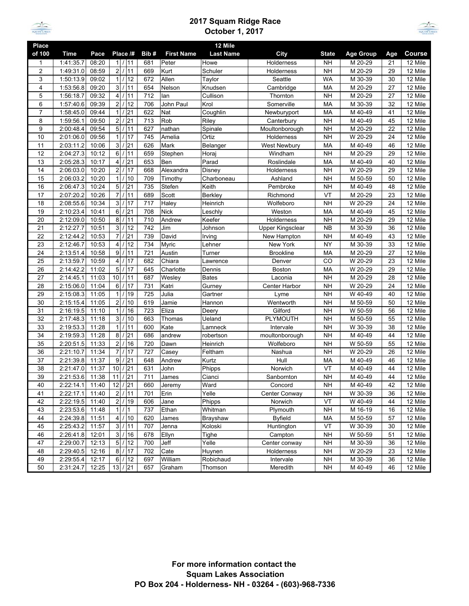

## **2017 Squam Ridge Race October 1, 2017**



| Place          |             |       |                                  |      |                   | 12 Mile          |                     |              |                  |     |               |
|----------------|-------------|-------|----------------------------------|------|-------------------|------------------|---------------------|--------------|------------------|-----|---------------|
| of 100         | <b>Time</b> | Pace  | Place /#                         | Bib# | <b>First Name</b> | <b>Last Name</b> | City                | <b>State</b> | <b>Age Group</b> | Age | <b>Course</b> |
| 1              | 1:41:35.7   | 08:20 | 1/11                             | 681  | Peter             | Howe             | Holderness          | NΗ           | M 20-29          | 21  | 12 Mile       |
| $\overline{2}$ | 1:49:31.0   | 08:59 | $\overline{2}$<br>11             | 669  | Kurt              | Schuler          | Holderness          | NΗ           | M 20-29          | 29  | 12 Mile       |
| 3              | 1:50:13.9   | 09:02 | 1/12                             | 672  | Allen             | Taylor           | Seattle             | <b>WA</b>    | M 30-39          | 30  | 12 Mile       |
| 4              | 1:53:56.8   | 09:20 | 3 <sup>1</sup><br>11<br>$\prime$ | 654  | Nelson            | Knudsen          | Cambridge           | MA           | M 20-29          | 27  | 12 Mile       |
| 5              | 1:56:18.7   | 09:32 | $\vert$<br>111                   | 712  | lan               | Cullison         | Thornton            | <b>NH</b>    | M 20-29          | 27  | 12 Mile       |
| 6              | 1:57:40.6   | 09:39 | $\overline{2}$<br>/12            | 706  | John Paul         | Krol             | Somerville          | MA           | M 30-39          | 32  | 12 Mile       |
| $\overline{7}$ | 1:58:45.0   | 09:44 | $\mathbf{1}$<br>21               | 622  | Nat               | Coughlin         | Newburyport         | MA           | M 40-49          | 41  | 12 Mile       |
| 8              | 1:59:56.1   | 09:50 | 2 <br>/21                        | 713  | Rob               | Riley            | Canterbury          | <b>NH</b>    | M 40-49          | 45  | 12 Mile       |
| 9              | 2:00:48.4   | 09:54 | 5 <sub>l</sub><br>/11            | 627  | nathan            | Spinale          | Moultonborough      | <b>NH</b>    | M 20-29          | 22  | 12 Mile       |
| 10             | 2:01:06.0   | 09:56 | 1 <sup>1</sup><br>/17            | 745  | Amelia            | Ortiz            | Holderness          | <b>NH</b>    | W 20-29          | 24  | 12 Mile       |
| 11             | 2:03:11.2   | 10:06 | 3 <sup>1</sup><br>1 21           | 626  | Mark              | Belanger         | <b>West Newbury</b> | MA           | M 40-49          | 46  | 12 Mile       |
| 12             | 2:04:27.3   | 10:12 | $6 \overline{6}$<br>11           | 659  | Stephen           | Horaj            | Windham             | <b>NH</b>    | M 20-29          | 29  | 12 Mile       |
| 13             | 2:05:28.3   | 10:17 | $\overline{4}$<br>/21            | 653  | Ben               | Parad            | Roslindale          | MA           | M 40-49          | 40  | 12 Mile       |
| 14             | 2:06:03.0   | 10:20 | $2 \overline{ }$<br>117          | 668  | Alexandra         | Disney           | Holderness          | <b>NH</b>    | W 20-29          | 29  | 12 Mile       |
| 15             | 2:06:03.2   | 10:20 | 1 <sup>1</sup><br>/10            | 709  | Timothy           | Charboneau       | Ashland             | <b>NH</b>    | M 50-59          | 50  | 12 Mile       |
| 16             | 2:06:47.3   | 10:24 | 5 <sub>5</sub><br>1 21           | 735  | Stefen            | Keith            | Pembroke            | <b>NH</b>    | M 40-49          | 48  | 12 Mile       |
| 17             | 2:07:20.2   | 10:26 | $\overline{7}$<br>11             | 689  | Scott             | Berkley          | Richmond            | VT           | M 20-29          | 23  | 12 Mile       |
| 18             | 2:08:55.6   | 10:34 | /17<br>3 <sup>1</sup>            | 717  | Haley             | Heinrich         | Wolfeboro           | <b>NH</b>    | W 20-29          | 24  | 12 Mile       |
| 19             | 2:10:23.4   | 10:41 | $6 \mid$<br>21                   | 708  | <b>Nick</b>       | Leschly          | Weston              | MA           | M 40-49          | 45  | 12 Mile       |
| 20             | 2:12:09.0   | 10:50 | 8 <sup>1</sup><br>11<br>$\prime$ | 710  | Andrew            | Keefer           | Holderness          | <b>NH</b>    | M 20-29          | 29  | 12 Mile       |
| 21             | 2:12:27.7   | 10:51 | 3 <sup>1</sup><br>12<br>$\prime$ | 742  | Jim               | Johnson          | Upper Kingsclear    | <b>NB</b>    | M 30-39          | 36  | 12 Mile       |
| 22             | 2:12:44.2   | 10:53 | $\overline{7}$<br>21             | 739  | David             | Irving           | New Hampton         | <b>NH</b>    | M 40-49          | 43  | 12 Mile       |
| 23             | 2:12:46.7   | 10:53 | /12<br>$\overline{4}$            | 734  | Myric             | Lehner           | New York            | <b>NY</b>    | M 30-39          | 33  | 12 Mile       |
| 24             | 2:13:51.4   | 10:58 | 9 <sup>1</sup><br>/11            | 721  | Austin            | Turner           | <b>Brookline</b>    | MA           | M 20-29          | 27  | 12 Mile       |
| 25             | 2:13:59.7   | 10:59 | $\overline{4}$<br>17<br>$\prime$ | 682  | Chiara            | Lawrence         | Denver              | CO           | W 20-29          | 23  | 12 Mile       |
| 26             | 2:14:42.2   | 11:02 | 5 <sub>l</sub><br>/17            | 645  | Charlotte         | Dennis           | Boston              | MA           | W 20-29          | 29  | 12 Mile       |
| 27             | 2:14:45.1   | 11:03 | 10 <sup>1</sup><br>111           | 687  | Wesley            | Bates            | Laconia             | <b>NH</b>    | M 20-29          | 28  | 12 Mile       |
| 28             | 2:15:06.0   | 11:04 | /17<br>$6 \overline{6}$          | 731  | Katri             | Gurney           | Center Harbor       | <b>NH</b>    | W 20-29          | 24  | 12 Mile       |
| 29             | 2:15:08.3   | 11:05 | 1<br>19                          | 725  | Julia             | Gartner          | Lyme                | <b>NH</b>    | W 40-49          | 40  | 12 Mile       |
| 30             | 2:15:15.4   | 11:05 | 2 <sub>l</sub><br>10<br>$\prime$ | 619  | Jamie             | Hannon           | Wentworth           | <b>NH</b>    | M 50-59          | 50  | 12 Mile       |
| 31             | 2:16:19.5   | 11:10 | 1 <sup>1</sup><br>16             | 723  | Eliza             | Deery            | Gilford             | <b>NH</b>    | W 50-59          | 56  | 12 Mile       |
| 32             | 2:17:48.3   | 11:18 | 3 <sup>1</sup><br>10             | 663  | Thomas            | Ueland           | <b>PLYMOUTH</b>     | <b>NH</b>    | M 50-59          | 55  | 12 Mile       |
| 33             | 2:19:53.3   | 11:28 | 1 <sup>1</sup><br>111            | 600  | Kate              | Lamneck          | Intervale           | <b>NH</b>    | W 30-39          | 38  | 12 Mile       |
| 34             | 2:19:59.3   | 11:28 | 8 <sup>1</sup><br>1/21           | 686  | andrew            | robertson        | moultonborough      | <b>NH</b>    | M 40-49          | 44  | 12 Mile       |
| 35             | 2:20:51.5   | 11:33 | 2 <sub>l</sub><br>16<br>$\prime$ | 720  | Dawn              | Heinrich         | Wolfeboro           | <b>NH</b>    | W 50-59          | 55  | 12 Mile       |
| 36             | 2:21:10.7   | 11:34 | 7 <sup>1</sup><br>/17            | 727  | Casey             | Feltham          | Nashua              | <b>NH</b>    | W 20-29          | 26  | 12 Mile       |
| 37             | 2:21:39.8   | 11:37 | 9<br>21                          | 648  | Andrew            | Kurtz            | Hull                | MA           | M 40-49          | 46  | 12 Mile       |
| 38             | 2:21:47.0   | 11:37 | 10 <sup>1</sup><br>1 21          | 631  | John              | Phipps           | Norwich             | VT           | M 40-49          | 44  | 12 Mile       |
| 39             | 2:21:53.6   | 11:38 | 21<br>11                         | 711  | James             | Cianci           | Sanbornton          | <b>NH</b>    | M 40-49          | 44  | 12 Mile       |
| 40             | 2:22:14.1   | 11:40 | $12$ / 21                        | 660  | Jeremy            | Ward             | Concord             | <b>NH</b>    | M 40-49          | 42  | 12 Mile       |
| 41             | 2:22:17.1   | 11:40 | 2/11                             | 701  | Erin              | Yelle            | Center Conway       | <b>NH</b>    | W 30-39          | 36  | 12 Mile       |
| 42             | 2:22:19.5   | 11:40 | /19<br>2                         | 606  | Jane              | Phipps           | Norwich             | VT           | W 40-49          | 44  | 12 Mile       |
| 43             | 2:23:53.6   | 11:48 | 1/1                              | 737  | Ethan             | Whitman          | Plymouth            | <b>NH</b>    | M 16-19          | 16  | 12 Mile       |
| 44             | 2:24:39.8   | 11:51 | 4/10                             | 620  | James             | Brayshaw         | Byfield             | MA           | M 50-59          | 57  | 12 Mile       |
| 45             | 2:25:43.2   | 11:57 | 3/11                             | 707  | Jenna             | Koloski          | Huntington          | VT           | W 30-39          | 30  | 12 Mile       |
| 46             | 2:26:41.8   | 12:01 | 3/16                             | 678  | Ellyn             | Tighe            | Campton             | <b>NH</b>    | W 50-59          | 51  | 12 Mile       |
| 47             | 2:29:00.7   | 12:13 | 5 <sup>1</sup><br>/12            | 700  | Jeff              | Yelle            | Center conway       | <b>NH</b>    | M 30-39          | 36  | 12 Mile       |
| 48             | 2:29:40.5   | 12:16 | 8 / 17                           | 702  | Cate              | Huynen           | Holderness          | <b>NH</b>    | W 20-29          | 23  | 12 Mile       |
| 49             | 2:29:55.4   | 12:17 | $6 \overline{6}$<br>/12          | 697  | William           | Robichaud        | Intervale           | <b>NH</b>    | M 30-39          | 36  | 12 Mile       |
| 50             | 2:31:24.7   | 12:25 | 13 / 21                          | 657  | Graham            | Thomson          | Meredith            | <b>NH</b>    | M 40-49          | 46  | 12 Mile       |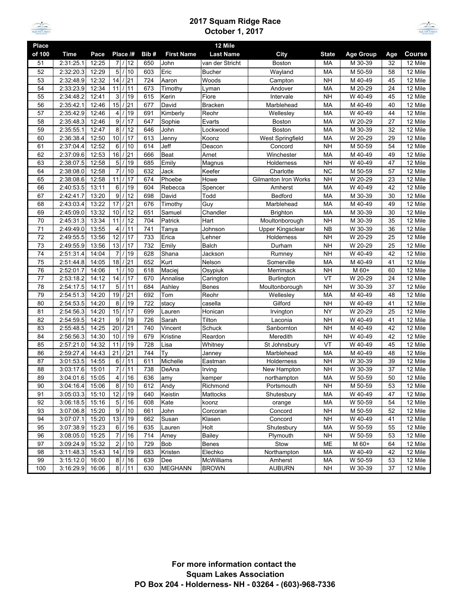

## **2017 Squam Ridge Race October 1, 2017**



| 12 Mile<br>Place |           |       |                                         |      |                   |                  |                             |              |                  |     |                      |
|------------------|-----------|-------|-----------------------------------------|------|-------------------|------------------|-----------------------------|--------------|------------------|-----|----------------------|
| of 100           | Time      | Pace  | Place /#                                | Bib# | <b>First Name</b> | <b>Last Name</b> | City                        | <b>State</b> | <b>Age Group</b> | Age | <b>Course</b>        |
| 51               | 2:31:25.1 | 12:25 | 7/12                                    | 650  | John              | van der Stricht  | <b>Boston</b>               | MA           | M 30-39          | 32  | 12 Mile              |
| 52               | 2:32:20.3 | 12:29 | 5<br>$\overline{1}$<br>10               | 603  | Eric              | <b>Bucher</b>    | Wayland                     | MA           | M 50-59          | 58  | 12 Mile              |
| 53               | 2:32:48.9 | 12:32 | 14<br>/21                               | 724  | Aaron             | Woods            | Campton                     | <b>NH</b>    | M 40-49          | 45  | 12 Mile              |
| 54               | 2:33:23.9 | 12:34 | $\prime$<br>11<br>11                    | 673  | Timothy           | Lyman            | Andover                     | MA           | M 20-29          | 24  | 12 Mile              |
| 55               | 2:34:48.2 | 12:41 | 3<br>$\prime$<br>19                     | 615  | Kerin             | Fiore            | Intervale                   | <b>NH</b>    | W 40-49          | 45  | 12 Mile              |
| 56               | 2:35:42.1 | 12:46 | 15<br>21<br>$\prime$                    | 677  | David             | <b>Bracken</b>   | Marblehead                  | MA           | M 40-49          | 40  | 12 Mile              |
| 57               | 2:35:42.9 | 12:46 | $\overline{1}$<br>$\overline{4}$<br>19  | 691  | Kimberly          | Reohr            | Wellesley                   | MA           | W 40-49          | 44  | 12 Mile              |
| 58               | 2:35:48.3 | 12:46 | 9<br>17                                 | 647  | Sophie            | Evarts           | Boston                      | MA           | W 20-29          | 27  | 12 Mile              |
| 59               | 2:35:55.1 | 12:47 | 8<br>$\prime$<br>12                     | 646  | John              | Lockwood         | Boston                      | MA           | M 30-39          | 32  | 12 Mile              |
| 60               | 2:36:38.4 | 12:50 | 10<br>$\prime$<br>17                    | 613  | Jenny             | Koonz            | West Springfield            | MA           | W 20-29          | 29  | 12 Mile              |
| 61               | 2:37:04.4 | 12:52 | 6<br>$\prime$<br>10                     | 614  | Jeff              | Deacon           | Concord                     | <b>NH</b>    | M 50-59          | 54  | 12 Mile              |
| 62               | 2:37:09.6 | 12:53 | $\overline{7}$  21<br>16                | 666  | <b>Beat</b>       | Arnet            | Winchester                  | MA           | M 40-49          | 49  | 12 Mile              |
| 63               | 2:38:07.5 | 12:58 | 5<br>$\prime$<br>19                     | 685  | Emily             | Magnus           | Holderness                  | <b>NH</b>    | W 40-49          | 47  | 12 Mile              |
| 64               | 2:38:08.0 | 12:58 | $\overline{7}$<br>$\prime$<br>10        | 632  | Jack              | Keefer           | Charlotte                   | <b>NC</b>    | M 50-59          | 57  | 12 Mile              |
| 65               | 2:38:08.6 | 12:58 | 11<br>17<br>$\prime$                    | 674  | Phoebe            | Howe             | <b>Gilmanton Iron Works</b> | <b>NH</b>    | W 20-29          | 23  | 12 Mile              |
| 66               | 2:40:53.5 | 13:11 | 6<br>$\prime$<br>19                     | 604  | Rebecca           | Spencer          | Amherst                     | MA           | W 40-49          | 42  | 12 Mile              |
| 67               | 2:42:41.7 | 13:20 | 9<br>$\prime$<br>12                     | 698  | David             | Todd             | <b>Bedford</b>              | MA           | M 30-39          | 30  | 12 Mile              |
| 68               | 2:43:03.4 | 13:22 | 17<br>21                                | 676  | Timothy           | Guy              | Marblehead                  | MA           | M 40-49          | 49  | 12 Mile              |
| 69               | 2:45:09.0 | 13:32 | 12<br>10<br>$\prime$                    | 651  | Samuel            | Chandler         | <b>Brighton</b>             | MA           | M 30-39          | 30  | 12 Mile              |
| 70               | 2:45:31.3 | 13:34 | 11<br>12                                | 704  | Patrick           | Hart             | Moultonborough              | <b>NH</b>    | M 30-39          | 35  | 12 Mile              |
| 71               | 2:49:49.0 | 13:55 | $\overline{4}$<br>11<br>$\prime$        | 741  | Tanya             | Johnson          | Upper Kingsclear            | <b>NB</b>    | W 30-39          | 36  | 12 Mile              |
| 72               | 2:49:55.5 | 13:56 | 12<br>$\prime$<br>17                    | 733  | Erica             | Lehner           | Holderness                  | <b>NH</b>    | W 20-29          | 25  | 12 Mile              |
| 73               | 2:49:55.9 | 13:56 | 13<br>17<br>$\frac{1}{2}$               | 732  | Emily             | <b>Balch</b>     | Durham                      | <b>NH</b>    | W 20-29          | 25  | 12 Mile              |
| 74               | 2:51:31.4 | 14:04 | 7 <sup>1</sup><br>$\prime$<br>19        | 628  | Shana             | Jackson          | Rumney                      | <b>NH</b>    | W 40-49          | 42  | 12 Mile              |
| 75               | 2:51:44.8 | 14:05 | 18<br>21<br>$\prime$                    | 652  | Kurt              | Nelson           | Somerville                  | MA           | M 40-49          | 41  | 12 Mile              |
| 76               | 2:52:01.7 | 14:06 | $\mathbf{1}$<br>10                      | 618  | Maciej            | Osypiuk          | Merrimack                   | <b>NH</b>    | M 60+            | 60  | 12 Mile              |
| 77               | 2:53:18.2 | 14:12 | 14<br>$\prime$<br>17                    | 670  | Annalise          | Carington        | <b>Burlington</b>           | VT           | W 20-29          | 24  | 12 Mile              |
| 78               | 2:54:17.5 | 14:17 | 5<br>11<br>$\prime$                     | 684  | Ashley            | Benes            | Moultonborough              | <b>NH</b>    | W 30-39          | 37  | 12 Mile              |
| 79               | 2:54:51.3 | 14:20 | 19<br>21<br>$\prime$                    | 692  | Tom               | Reohr            | Wellesley                   | MA           | M 40-49          | 48  | 12 Mile              |
| 80               | 2:54:53.5 | 14:20 | 8<br>$\prime$<br>19                     | 722  | stacy             | casella          | Gilford                     | <b>NH</b>    | W 40-49          | 41  | 12 Mile              |
| 81               | 2:54:56.3 | 14:20 | 15<br>17<br>$\prime$                    | 699  | Lauren            | Honican          | Irvington                   | <b>NY</b>    | W 20-29          | 25  | 12 Mile              |
| 82               | 2:54:59.5 | 14:21 | 9<br>$\prime$<br>19                     | 726  | Sarah             | Tilton           | Laconia                     | <b>NH</b>    | W 40-49          | 41  | 12 Mile              |
| 83               | 2:55:48.5 | 14:25 | 20<br>21<br>$\prime$                    | 740  | Vincent           | Schuck           | Sanbornton                  | <b>NH</b>    | M 40-49          | 42  | 12 Mile              |
| 84               | 2:56:56.3 | 14:30 | 10<br>$\overline{1}$<br>19              | 679  | Kristine          | Reardon          | Meredith                    | <b>NH</b>    | W 40-49          | 42  | 12 Mile              |
| 85               | 2:57:21.0 | 14:32 | 11<br>19                                | 728  | Lisa              | Whitney          | St Johnsbury                | VT           | W 40-49          | 45  | 12 Mile              |
| 86               | 2:59:27.4 | 14:43 | 21<br>21                                | 744  | Ty                | Janney           | Marblehead                  | MA           | M 40-49          | 48  | 12 Mile              |
| 87               | 3:01:53.5 | 14:55 | 6<br>$\prime$<br>11                     | 611  | Michelle          | Eastman          | Holderness                  | <b>NH</b>    | W 30-39          | 39  | 12 Mile              |
| 88               | 3:03:17.6 | 15:01 | $\overline{7}$<br>11<br>$\prime$        | 738  | DeAna             | Irving           | New Hampton                 | <b>NH</b>    | W 30-39          | 37  | 12 Mile              |
| 89               | 3:04:01.6 | 15:05 | $\overline{4}$<br>$\prime$<br>16        | 636  | amy               | kemper           | northampton                 | MA           | W 50-59          | 50  | 12 Mile              |
| 90               | 3:04:16.4 | 15:06 | 8/10                                    | 612  | Andy              | Richmond         | Portsmouth                  | <b>NH</b>    | M 50-59          | 53  | $\overline{12}$ Mile |
| 91               | 3:05:03.3 | 15:10 | 12 / 19                                 | 640  | Keistin           | Mattocks         | Shutesbury                  | МA           | W 40-49          | 47  | 12 Mile              |
| 92               | 3:06:18.5 | 15:16 | $5\overline{)}$<br>$\overline{1}$<br>16 | 608  | Kate              | koonz            | orange                      | МA           | W 50-59          | 54  | 12 Mile              |
| 93               | 3:07:06.8 | 15:20 | 9<br>/10                                | 661  | John              | Corcoran         | Concord                     | <b>NH</b>    | M 50-59          | 52  | 12 Mile              |
| 94               | 3:07:07.1 | 15:20 | 13<br>$\prime$<br>19                    | 662  | Susan             | Klasen           | Concord                     | <b>NH</b>    | W 40-49          | 41  | 12 Mile              |
| 95               | 3:07:38.9 | 15:23 | $6$ / 16                                | 635  | Lauren            | Holt             | Shutesbury                  | MA           | W 50-59          | 55  | 12 Mile              |
| 96               | 3:08:05.0 | 15:25 | $\overline{7}$<br>$\prime$<br>16        | 714  | Amey              | Bailey           | Plymouth                    | <b>NH</b>    | W 50-59          | 53  | 12 Mile              |
| 97               | 3:09:24.9 | 15:32 | $2$ / 10                                | 729  | Bob               | Benes            | Stow                        | ME           | M 60+            | 64  | 12 Mile              |
| 98               | 3:11:48.3 | 15:43 | 14<br>/19                               | 683  | Kristen           | Elechko          | Northampton                 | MA           | W 40-49          | 42  | 12 Mile              |
| 99               | 3:15:12.0 | 16:00 | /16<br>8                                | 639  | Dee               | McWilliams       | Amherst                     | МA           | W 50-59          | 53  | 12 Mile              |
| 100              | 3:16:29.9 | 16:06 | 8/111                                   | 630  | <b>MEGHANN</b>    | <b>BROWN</b>     | <b>AUBURN</b>               | <b>NH</b>    | W 30-39          | 37  | 12 Mile              |